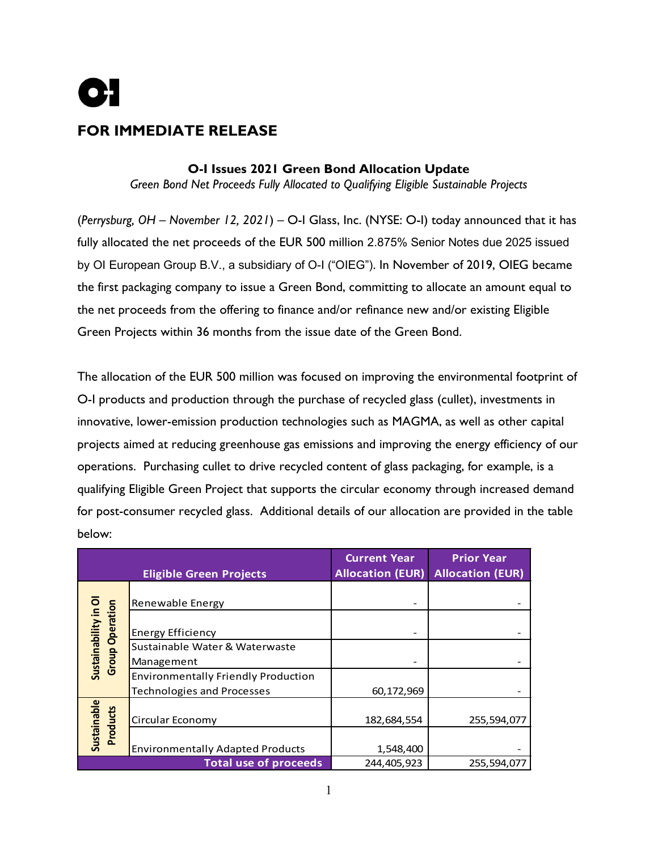

# **FOR IMMEDIATE RELEASE**

## **O-I Issues 2021 Green Bond Allocation Update**

*Green Bond Net Proceeds Fully Allocated to Qualifying Eligible Sustainable Projects* 

(*Perrysburg, OH – November 12, 2021*) – O-I Glass, Inc. (NYSE: O-I) today announced that it has fully allocated the net proceeds of the EUR 500 million 2.875% Senior Notes due 2025 issued by OI European Group B.V., a subsidiary of O-I ("OIEG"). In November of 2019, OIEG became the first packaging company to issue a Green Bond, committing to allocate an amount equal to the net proceeds from the offering to finance and/or refinance new and/or existing Eligible Green Projects within 36 months from the issue date of the Green Bond.

The allocation of the EUR 500 million was focused on improving the environmental footprint of O-I products and production through the purchase of recycled glass (cullet), investments in innovative, lower-emission production technologies such as MAGMA, as well as other capital projects aimed at reducing greenhouse gas emissions and improving the energy efficiency of our operations. Purchasing cullet to drive recycled content of glass packaging, for example, is a qualifying Eligible Green Project that supports the circular economy through increased demand for post-consumer recycled glass. Additional details of our allocation are provided in the table below:

| <b>Eligible Green Projects</b>              |                                                          | <b>Current Year</b><br><b>Allocation (EUR)</b> | <b>Prior Year</b><br><b>Allocation (EUR)</b> |
|---------------------------------------------|----------------------------------------------------------|------------------------------------------------|----------------------------------------------|
| <b>Group Operation</b><br>Sustainability in | Renewable Energy                                         |                                                |                                              |
|                                             | <b>Energy Efficiency</b>                                 |                                                |                                              |
|                                             | Sustainable Water & Waterwaste                           |                                                |                                              |
|                                             | Management<br><b>Environmentally Friendly Production</b> |                                                |                                              |
|                                             | <b>Technologies and Processes</b>                        | 60,172,969                                     |                                              |
| Sustainable<br>Products                     | Circular Economy                                         | 182,684,554                                    | 255,594,077                                  |
|                                             | <b>Environmentally Adapted Products</b>                  | 1,548,400                                      |                                              |
| <b>Total use of proceeds</b>                |                                                          | 244,405,923                                    | 255,594,077                                  |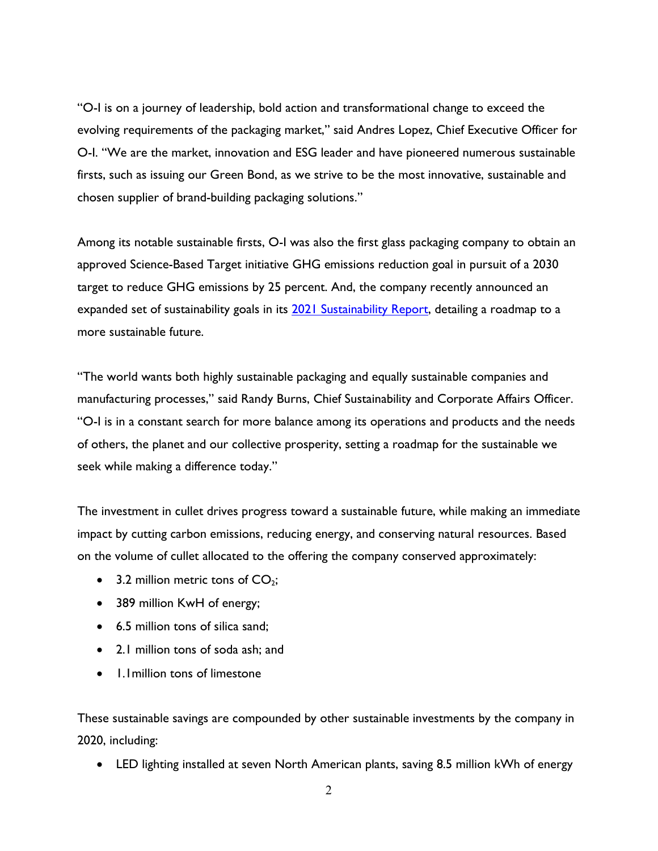"O-I is on a journey of leadership, bold action and transformational change to exceed the evolving requirements of the packaging market," said Andres Lopez, Chief Executive Officer for O-I. "We are the market, innovation and ESG leader and have pioneered numerous sustainable firsts, such as issuing our Green Bond, as we strive to be the most innovative, sustainable and chosen supplier of brand-building packaging solutions."

Among its notable sustainable firsts, O-I was also the first glass packaging company to obtain an approved Science-Based Target initiative GHG emissions reduction goal in pursuit of a 2030 target to reduce GHG emissions by 25 percent. And, the company recently announced an expanded set of sustainability goals in its [2021 Sustainability Report,](http://o-i.com/sustainability/) detailing a roadmap to a more sustainable future.

"The world wants both highly sustainable packaging and equally sustainable companies and manufacturing processes," said Randy Burns, Chief Sustainability and Corporate Affairs Officer. "O-I is in a constant search for more balance among its operations and products and the needs of others, the planet and our collective prosperity, setting a roadmap for the sustainable we seek while making a difference today."

The investment in cullet drives progress toward a sustainable future, while making an immediate impact by cutting carbon emissions, reducing energy, and conserving natural resources. Based on the volume of cullet allocated to the offering the company conserved approximately:

- 3.2 million metric tons of  $CO<sub>2</sub>$ ;
- 389 million KwH of energy;
- 6.5 million tons of silica sand;
- 2.1 million tons of soda ash; and
- 1.1million tons of limestone

These sustainable savings are compounded by other sustainable investments by the company in 2020, including:

• LED lighting installed at seven North American plants, saving 8.5 million kWh of energy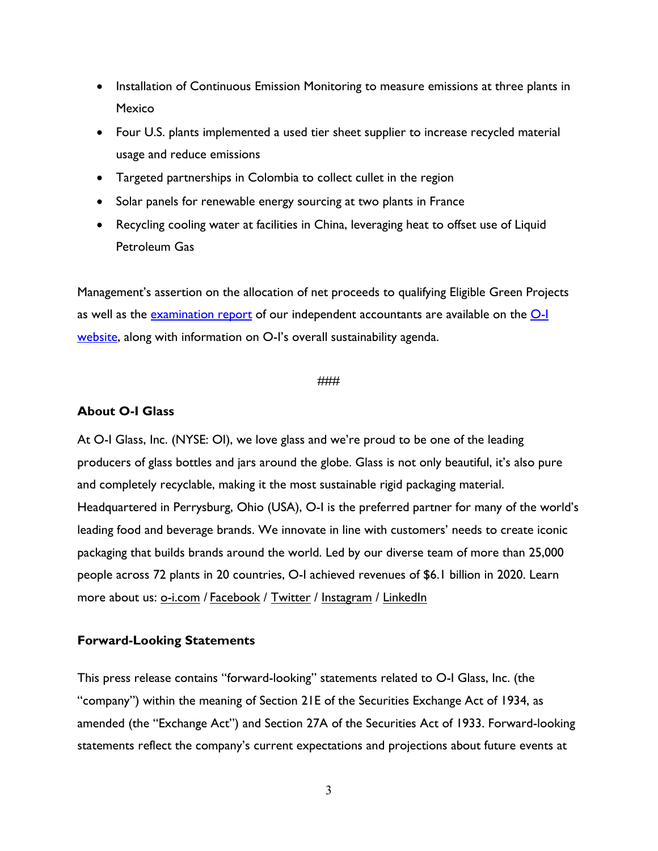- Installation of Continuous Emission Monitoring to measure emissions at three plants in Mexico
- Four U.S. plants implemented a used tier sheet supplier to increase recycled material usage and reduce emissions
- Targeted partnerships in Colombia to collect cullet in the region
- Solar panels for renewable energy sourcing at two plants in France
- Recycling cooling water at facilities in China, leveraging heat to offset use of Liquid Petroleum Gas

Management's assertion on the allocation of net proceeds to qualifying Eligible Green Projects as well as the [examination report](https://www.o-i.com/wp-content/uploads/2020/11/O-I-Green-Bond_Final-Ind-Acct-Report.pdf) of our independent accountants are available on the [O-I](https://www.o-i.com/sustainability/)  [website,](https://www.o-i.com/sustainability/) along with information on O-I's overall sustainability agenda.

#### ###

### **About O-I Glass**

At O-I Glass, Inc. (NYSE: OI), we love glass and we're proud to be one of the leading producers of glass bottles and jars around the globe. Glass is not only beautiful, it's also pure and completely recyclable, making it the most sustainable rigid packaging material. Headquartered in Perrysburg, Ohio (USA), O-I is the preferred partner for many of the world's leading food and beverage brands. We innovate in line with customers' needs to create iconic packaging that builds brands around the world. Led by our diverse team of more than 25,000 people across 72 plants in 20 countries, O-I achieved revenues of \$6.1 billion in 2020. Learn more about us: <u>[o-i.com](https://www.o-i.com/)</u> / [Facebook](https://www.facebook.com/OIGlass) / [Twitter](https://twitter.com/OI_Glass) / [Instagram](https://www.instagram.com/OI_Glass/) / [LinkedIn](https://www.linkedin.com/company/o-i)

#### **Forward-Looking Statements**

This press release contains "forward-looking" statements related to O-I Glass, Inc. (the "company") within the meaning of Section 21E of the Securities Exchange Act of 1934, as amended (the "Exchange Act") and Section 27A of the Securities Act of 1933. Forward-looking statements reflect the company's current expectations and projections about future events at

3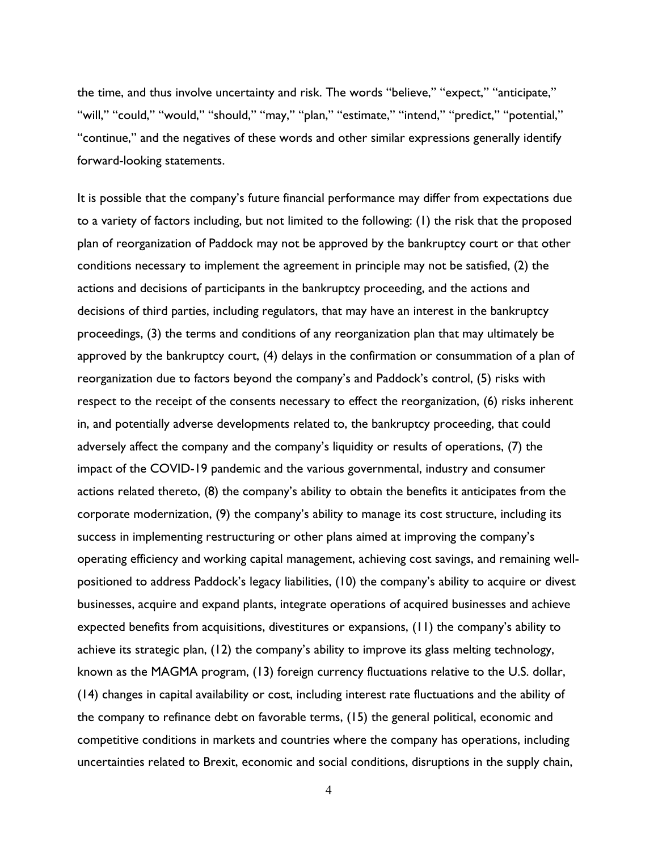the time, and thus involve uncertainty and risk. The words "believe," "expect," "anticipate," "will," "could," "would," "should," "may," "plan," "estimate," "intend," "predict," "potential," "continue," and the negatives of these words and other similar expressions generally identify forward-looking statements.

It is possible that the company's future financial performance may differ from expectations due to a variety of factors including, but not limited to the following: (1) the risk that the proposed plan of reorganization of Paddock may not be approved by the bankruptcy court or that other conditions necessary to implement the agreement in principle may not be satisfied, (2) the actions and decisions of participants in the bankruptcy proceeding, and the actions and decisions of third parties, including regulators, that may have an interest in the bankruptcy proceedings, (3) the terms and conditions of any reorganization plan that may ultimately be approved by the bankruptcy court, (4) delays in the confirmation or consummation of a plan of reorganization due to factors beyond the company's and Paddock's control, (5) risks with respect to the receipt of the consents necessary to effect the reorganization, (6) risks inherent in, and potentially adverse developments related to, the bankruptcy proceeding, that could adversely affect the company and the company's liquidity or results of operations, (7) the impact of the COVID-19 pandemic and the various governmental, industry and consumer actions related thereto, (8) the company's ability to obtain the benefits it anticipates from the corporate modernization, (9) the company's ability to manage its cost structure, including its success in implementing restructuring or other plans aimed at improving the company's operating efficiency and working capital management, achieving cost savings, and remaining wellpositioned to address Paddock's legacy liabilities, (10) the company's ability to acquire or divest businesses, acquire and expand plants, integrate operations of acquired businesses and achieve expected benefits from acquisitions, divestitures or expansions, (11) the company's ability to achieve its strategic plan, (12) the company's ability to improve its glass melting technology, known as the MAGMA program, (13) foreign currency fluctuations relative to the U.S. dollar, (14) changes in capital availability or cost, including interest rate fluctuations and the ability of the company to refinance debt on favorable terms, (15) the general political, economic and competitive conditions in markets and countries where the company has operations, including uncertainties related to Brexit, economic and social conditions, disruptions in the supply chain,